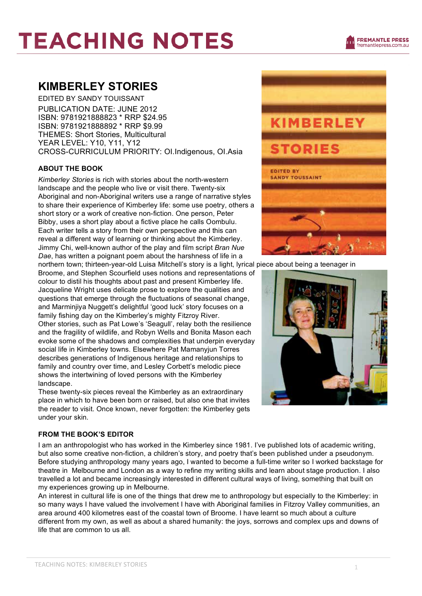# **TEACHING NOTES**

### **KIMBERLEY STORIES**

EDITED BY SANDY TOUISSANT PUBLICATION DATE: JUNE 2012 ISBN: 9781921888823 \* RRP \$24.95 ISBN: 9781921888892 \* RRP \$9.99 THEMES: Short Stories, Multicultural YEAR LEVEL: Y10, Y11, Y12 CROSS-CURRICULUM PRIORITY: OI.Indigenous, OI.Asia

#### **ABOUT THE BOOK**

*Kimberley Stories* is rich with stories about the north-western landscape and the people who live or visit there. Twenty-six Aboriginal and non-Aboriginal writers use a range of narrative styles to share their experience of Kimberley life: some use poetry, others a short story or a work of creative non-fiction. One person, Peter Bibby, uses a short play about a fictive place he calls Oombulu. Each writer tells a story from their own perspective and this can reveal a different way of learning or thinking about the Kimberley. Jimmy Chi, well-known author of the play and film script *Bran Nue Dae*, has written a poignant poem about the harshness of life in a

northern town; thirteen-year-old Luisa Mitchell's story is a light, lyrical piece about being a teenager in Broome, and Stephen Scourfield uses notions and representations of colour to distil his thoughts about past and present Kimberley life. Jacqueline Wright uses delicate prose to explore the qualities and questions that emerge through the fluctuations of seasonal change, and Marminjiya Nuggett's delightful 'good luck' story focuses on a family fishing day on the Kimberley's mighty Fitzroy River. Other stories, such as Pat Lowe's 'Seagull', relay both the resilience and the fragility of wildlife, and Robyn Wells and Bonita Mason each evoke some of the shadows and complexities that underpin everyday social life in Kimberley towns. Elsewhere Pat Mamanyjun Torres describes generations of Indigenous heritage and relationships to family and country over time, and Lesley Corbett's melodic piece shows the intertwining of loved persons with the Kimberley landscape.

These twenty-six pieces reveal the Kimberley as an extraordinary place in which to have been born or raised, but also one that invites the reader to visit. Once known, never forgotten: the Kimberley gets under your skin.

#### **FROM THE BOOK'S EDITOR**

I am an anthropologist who has worked in the Kimberley since 1981. I've published lots of academic writing, but also some creative non-fiction, a children's story, and poetry that's been published under a pseudonym. Before studying anthropology many years ago, I wanted to become a full-time writer so I worked backstage for theatre in Melbourne and London as a way to refine my writing skills and learn about stage production. I also travelled a lot and became increasingly interested in different cultural ways of living, something that built on my experiences growing up in Melbourne.

An interest in cultural life is one of the things that drew me to anthropology but especially to the Kimberley: in so many ways I have valued the involvement I have with Aboriginal families in Fitzroy Valley communities, an area around 400 kilometres east of the coastal town of Broome. I have learnt so much about a culture different from my own, as well as about a shared humanity: the joys, sorrows and complex ups and downs of life that are common to us all.



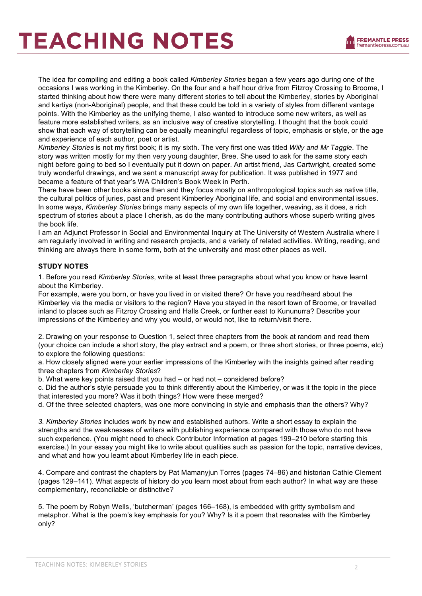## **TEACHING NOTES**

The idea for compiling and editing a book called *Kimberley Stories* began a few years ago during one of the occasions I was working in the Kimberley. On the four and a half hour drive from Fitzroy Crossing to Broome, I started thinking about how there were many different stories to tell about the Kimberley, stories by Aboriginal and kartiya (non-Aboriginal) people, and that these could be told in a variety of styles from different vantage points. With the Kimberley as the unifying theme, I also wanted to introduce some new writers, as well as feature more established writers, as an inclusive way of creative storytelling. I thought that the book could show that each way of storytelling can be equally meaningful regardless of topic, emphasis or style, or the age and experience of each author, poet or artist.

*Kimberley Stories* is not my first book; it is my sixth. The very first one was titled *Willy and Mr Taggle*. The story was written mostly for my then very young daughter, Bree. She used to ask for the same story each night before going to bed so I eventually put it down on paper. An artist friend, Jas Cartwright, created some truly wonderful drawings, and we sent a manuscript away for publication. It was published in 1977 and became a feature of that year's WA Children's Book Week in Perth.

There have been other books since then and they focus mostly on anthropological topics such as native title, the cultural politics of juries, past and present Kimberley Aboriginal life, and social and environmental issues. In some ways, *Kimberley Stories* brings many aspects of my own life together, weaving, as it does, a rich spectrum of stories about a place I cherish, as do the many contributing authors whose superb writing gives the book life.

I am an Adjunct Professor in Social and Environmental Inquiry at The University of Western Australia where I am regularly involved in writing and research projects, and a variety of related activities. Writing, reading, and thinking are always there in some form, both at the university and most other places as well.

#### **STUDY NOTES**

1. Before you read *Kimberley Stories*, write at least three paragraphs about what you know or have learnt about the Kimberley.

For example, were you born, or have you lived in or visited there? Or have you read/heard about the Kimberley via the media or visitors to the region? Have you stayed in the resort town of Broome, or travelled inland to places such as Fitzroy Crossing and Halls Creek, or further east to Kununurra? Describe your impressions of the Kimberley and why you would, or would not, like to return/visit there.

2. Drawing on your response to Question 1, select three chapters from the book at random and read them (your choice can include a short story, the play extract and a poem, or three short stories, or three poems, etc) to explore the following questions:

a. How closely aligned were your earlier impressions of the Kimberley with the insights gained after reading three chapters from *Kimberley Stories*?

b. What were key points raised that you had – or had not – considered before?

c. Did the author's style persuade you to think differently about the Kimberley, or was it the topic in the piece that interested you more? Was it both things? How were these merged?

d. Of the three selected chapters, was one more convincing in style and emphasis than the others? Why?

*3. Kimberley Stories* includes work by new and established authors. Write a short essay to explain the strengths and the weaknesses of writers with publishing experience compared with those who do not have such experience. (You might need to check Contributor Information at pages 199–210 before starting this exercise.) In your essay you might like to write about qualities such as passion for the topic, narrative devices, and what and how you learnt about Kimberley life in each piece.

4. Compare and contrast the chapters by Pat Mamanyjun Torres (pages 74–86) and historian Cathie Clement (pages 129–141). What aspects of history do you learn most about from each author? In what way are these complementary, reconcilable or distinctive?

5. The poem by Robyn Wells, 'butcherman' (pages 166–168), is embedded with gritty symbolism and metaphor. What is the poem's key emphasis for you? Why? Is it a poem that resonates with the Kimberley only?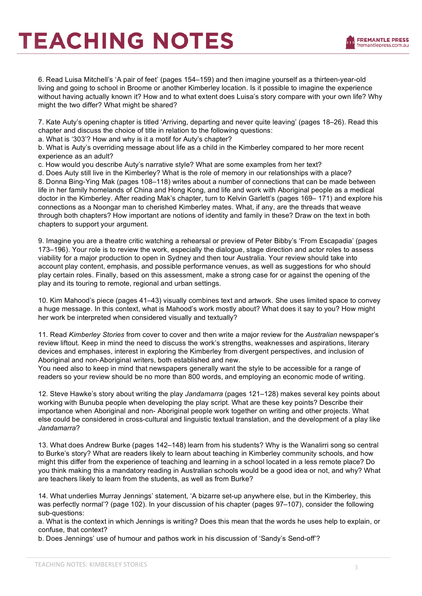### **TEACHING NOTES**

6. Read Luisa Mitchell's 'A pair of feet' (pages 154–159) and then imagine yourself as a thirteen-year-old living and going to school in Broome or another Kimberley location. Is it possible to imagine the experience without having actually known it? How and to what extent does Luisa's story compare with your own life? Why might the two differ? What might be shared?

7. Kate Auty's opening chapter is titled 'Arriving, departing and never quite leaving' (pages 18–26). Read this chapter and discuss the choice of title in relation to the following questions:

a. What is '303'? How and why is it a motif for Auty's chapter?

b. What is Auty's overriding message about life as a child in the Kimberley compared to her more recent experience as an adult?

c. How would you describe Auty's narrative style? What are some examples from her text?

d. Does Auty still live in the Kimberley? What is the role of memory in our relationships with a place?

8. Donna Bing-Ying Mak (pages 108–118) writes about a number of connections that can be made between life in her family homelands of China and Hong Kong, and life and work with Aboriginal people as a medical doctor in the Kimberley. After reading Mak's chapter, turn to Kelvin Garlett's (pages 169– 171) and explore his connections as a Noongar man to cherished Kimberley mates. What, if any, are the threads that weave through both chapters? How important are notions of identity and family in these? Draw on the text in both chapters to support your argument.

9. Imagine you are a theatre critic watching a rehearsal or preview of Peter Bibby's 'From Escapadia' (pages 173–196). Your role is to review the work, especially the dialogue, stage direction and actor roles to assess viability for a major production to open in Sydney and then tour Australia. Your review should take into account play content, emphasis, and possible performance venues, as well as suggestions for who should play certain roles. Finally, based on this assessment, make a strong case for or against the opening of the play and its touring to remote, regional and urban settings.

10. Kim Mahood's piece (pages 41–43) visually combines text and artwork. She uses limited space to convey a huge message. In this context, what is Mahood's work mostly about? What does it say to you? How might her work be interpreted when considered visually and textually?

11. Read *Kimberley Stories* from cover to cover and then write a major review for the *Australian* newspaper's review liftout. Keep in mind the need to discuss the work's strengths, weaknesses and aspirations, literary devices and emphases, interest in exploring the Kimberley from divergent perspectives, and inclusion of Aboriginal and non-Aboriginal writers, both established and new.

You need also to keep in mind that newspapers generally want the style to be accessible for a range of readers so your review should be no more than 800 words, and employing an economic mode of writing.

12. Steve Hawke's story about writing the play *Jandamarra* (pages 121–128) makes several key points about working with Bunuba people when developing the play script. What are these key points? Describe their importance when Aboriginal and non- Aboriginal people work together on writing and other projects. What else could be considered in cross-cultural and linguistic textual translation, and the development of a play like *Jandamarra*?

13. What does Andrew Burke (pages 142–148) learn from his students? Why is the Wanalirri song so central to Burke's story? What are readers likely to learn about teaching in Kimberley community schools, and how might this differ from the experience of teaching and learning in a school located in a less remote place? Do you think making this a mandatory reading in Australian schools would be a good idea or not, and why? What are teachers likely to learn from the students, as well as from Burke?

14. What underlies Murray Jennings' statement, 'A bizarre set-up anywhere else, but in the Kimberley, this was perfectly normal'? (page 102). In your discussion of his chapter (pages 97–107), consider the following sub-questions:

a. What is the context in which Jennings is writing? Does this mean that the words he uses help to explain, or confuse, that context?

b. Does Jennings' use of humour and pathos work in his discussion of 'Sandy's Send-off'?